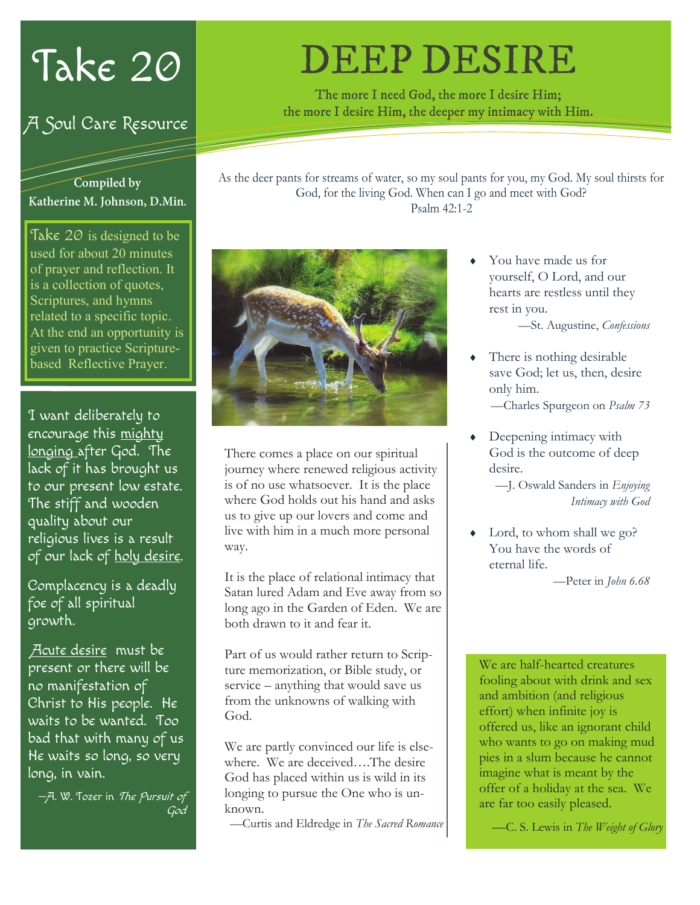# Take 20

### A Soul Care Resource

#### Compiled by Katherine M. Johnson, D.Min.

Take  $\overline{20}$  is designed to be used for about 20 minutes of prayer and reflection. It is a collection of quotes, Scriptures, and hymns related to a specific topic. At the end an opportunity is given to practice Scripturebased Reflective Prayer.

I want deliberately to encourage this mighty longing after God. The lack of it has brought us to our present low estate. The stiff and wooden quality about our religious lives is a result of our lack of holy desire.

Complacency is a deadly foe of all spiritual growth.

Acute desire must be present or there will be no manifestation of Christ to His people. He waits to be wanted. Too bad that with many of us He waits so long, so very long, in vain.

—A. W. Tozer in The Pursuit of God

# **DEEP DESIRE**

The more I need God, the more I desire Him; the more I desire Him, the deeper my intimacy with Him.

As the deer pants for streams of water, so my soul pants for you, my God. My soul thirsts for God, for the living God. When can I go and meet with God? Psalm 42:1-2



There comes a place on our spiritual journey where renewed religious activity is of no use whatsoever. It is the place where God holds out his hand and asks us to give up our lovers and come and live with him in a much more personal way.

It is the place of relational intimacy that Satan lured Adam and Eve away from so long ago in the Garden of Eden. We are both drawn to it and fear it.

Part of us would rather return to Scripture memorization, or Bible study, or service – anything that would save us from the unknowns of walking with God.

We are partly convinced our life is elsewhere. We are deceived….The desire God has placed within us is wild in its longing to pursue the One who is unknown.

—Curtis and Eldredge in *The Sacred Romance*

 You have made us for yourself, O Lord, and our hearts are restless until they rest in you.

—St. Augustine, *Confessions*

 There is nothing desirable save God; let us, then, desire only him.

—Charles Spurgeon on *Psalm 73*

 Deepening intimacy with God is the outcome of deep desire.

> —J. Oswald Sanders in *Enjoying Intimacy with God*

 Lord, to whom shall we go? You have the words of eternal life.

—Peter in *John 6.68*

We are half-hearted creatures fooling about with drink and sex and ambition (and religious effort) when infinite joy is offered us, like an ignorant child who wants to go on making mud pies in a slum because he cannot imagine what is meant by the offer of a holiday at the sea. We are far too easily pleased.

—C. S. Lewis in *The Weight of Glory*